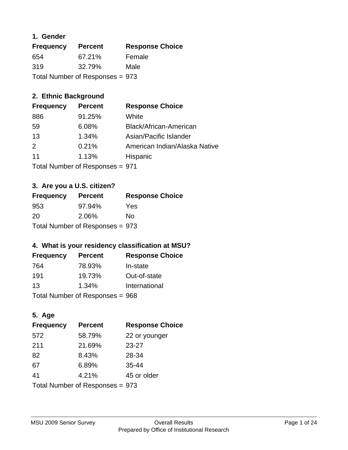### **1. Gender**

| <b>Frequency</b>                | <b>Percent</b> | <b>Response Choice</b> |
|---------------------------------|----------------|------------------------|
| 654                             | 67.21%         | Female                 |
| 319                             | 32.79%         | Male                   |
| Total Number of Responses = 973 |                |                        |

### **2. Ethnic Background**

| <b>Frequency</b> | <b>Percent</b> | <b>Response Choice</b>        |
|------------------|----------------|-------------------------------|
| 886              | 91.25%         | White                         |
| 59               | 6.08%          | Black/African-American        |
| 13               | 1.34%          | Asian/Pacific Islander        |
| $\mathcal{P}$    | 0.21%          | American Indian/Alaska Native |
| 11               | 1.13%          | Hispanic                      |
|                  |                |                               |

Total Number of Responses = 971

### **3. Are you a U.S. citizen?**

| <b>Frequency</b>                | <b>Percent</b> | <b>Response Choice</b> |
|---------------------------------|----------------|------------------------|
| 953                             | 97.94%         | Yes                    |
| 20                              | 2.06%          | Nο                     |
| Total Number of Responses = 973 |                |                        |

### **4. What is your residency classification at MSU?**

| <b>Frequency</b> | <b>Percent</b>             | <b>Response Choice</b> |
|------------------|----------------------------|------------------------|
| 764              | 78.93%                     | In-state               |
| 191              | 19.73%                     | Out-of-state           |
| 13               | 1.34%                      | International          |
|                  | Tetal Number of Desperance | nnn                    |

Total Number of Responses = 968

### **5. Age**

| <b>Frequency</b>                | <b>Percent</b> | <b>Response Choice</b> |
|---------------------------------|----------------|------------------------|
| 572                             | 58.79%         | 22 or younger          |
| 211                             | 21.69%         | 23-27                  |
| 82                              | 8.43%          | 28-34                  |
| 67                              | 6.89%          | $35 - 44$              |
| 41                              | 4.21%          | 45 or older            |
| Total Number of Responses = 973 |                |                        |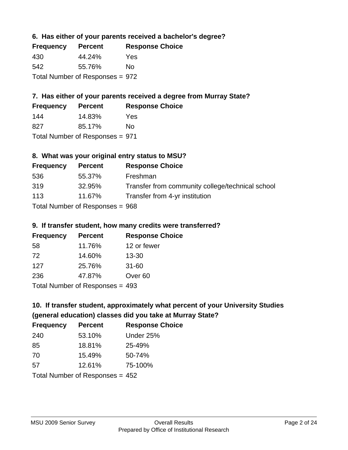### **6. Has either of your parents received a bachelor's degree?**

| <b>Frequency</b>                | <b>Percent</b> | <b>Response Choice</b> |
|---------------------------------|----------------|------------------------|
| 430                             | 44.24%         | Yes                    |
| 542                             | 55.76%         | No                     |
| Total Number of Responses = 972 |                |                        |

### **7. Has either of your parents received a degree from Murray State?**

| <b>Frequency</b> | <b>Percent</b> | <b>Response Choice</b> |
|------------------|----------------|------------------------|
| 144              | 14.83%         | Yes                    |
| 827              | 85.17%         | Nο                     |

Total Number of Responses = 971

#### **8. What was your original entry status to MSU?**

| <b>Frequency</b> | <b>Percent</b>                    | <b>Response Choice</b>                           |
|------------------|-----------------------------------|--------------------------------------------------|
| 536              | 55.37%                            | Freshman                                         |
| 319              | 32.95%                            | Transfer from community college/technical school |
| 113              | 11.67%                            | Transfer from 4-yr institution                   |
|                  | Total Number of Responses = $968$ |                                                  |

### **9. If transfer student, how many credits were transferred?**

| <b>Frequency</b>                 | <b>Percent</b> | <b>Response Choice</b> |
|----------------------------------|----------------|------------------------|
| 58                               | 11.76%         | 12 or fewer            |
| 72                               | 14.60%         | $13 - 30$              |
| 127                              | 25.76%         | $31 - 60$              |
| 236                              | 47.87%         | Over <sub>60</sub>     |
| Total Number of Poenances $-103$ |                |                        |

Total Number of Responses = 493

### **10. If transfer student, approximately what percent of your University Studies (general education) classes did you take at Murray State?**

| <b>Frequency</b>                  | <b>Percent</b> | <b>Response Choice</b> |
|-----------------------------------|----------------|------------------------|
| 240                               | 53.10%         | Under 25%              |
| 85                                | 18.81%         | 25-49%                 |
| 70                                | 15.49%         | 50-74%                 |
| .57                               | 12.61%         | 75-100%                |
| Total Number of Responses $= 452$ |                |                        |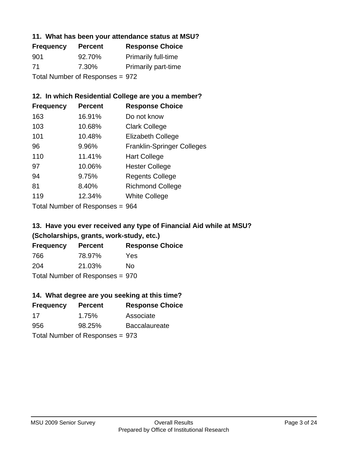### **11. What has been your attendance status at MSU?**

| <b>Frequency</b>                | <b>Percent</b> | <b>Response Choice</b>     |
|---------------------------------|----------------|----------------------------|
| 901                             | 92.70%         | <b>Primarily full-time</b> |
| -71                             | 7.30%          | <b>Primarily part-time</b> |
| Total Number of Responses = 972 |                |                            |

### **12. In which Residential College are you a member?**

| <b>Frequency</b> | <b>Percent</b> | <b>Response Choice</b>            |
|------------------|----------------|-----------------------------------|
| 163              | 16.91%         | Do not know                       |
| 103              | 10.68%         | <b>Clark College</b>              |
| 101              | 10.48%         | <b>Elizabeth College</b>          |
| 96               | 9.96%          | <b>Franklin-Springer Colleges</b> |
| 110              | 11.41%         | <b>Hart College</b>               |
| 97               | 10.06%         | <b>Hester College</b>             |
| 94               | 9.75%          | <b>Regents College</b>            |
| 81               | 8.40%          | <b>Richmond College</b>           |
| 119              | 12.34%         | <b>White College</b>              |
|                  |                |                                   |

Total Number of Responses = 964

### **13. Have you ever received any type of Financial Aid while at MSU? (Scholarships, grants, work-study, etc.)**

| <b>Frequency</b> | <b>Percent</b>                  | <b>Response Choice</b> |
|------------------|---------------------------------|------------------------|
| 766              | 78.97%                          | Yes                    |
| 204              | 21.03%                          | Nο                     |
|                  | Total Number of Responses = 970 |                        |

### **14. What degree are you seeking at this time?**

| <b>Frequency</b> | <b>Percent</b>                  | <b>Response Choice</b> |
|------------------|---------------------------------|------------------------|
| 17               | 1.75%                           | Associate              |
| 956              | 98.25%                          | <b>Baccalaureate</b>   |
|                  | Total Number of Responses = 973 |                        |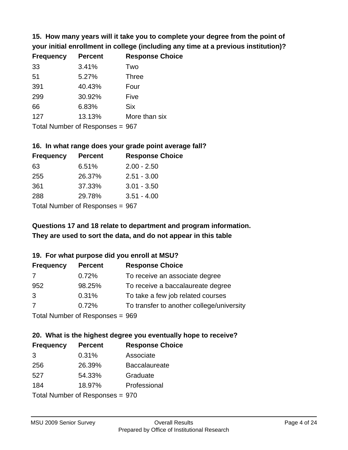**15. How many years will it take you to complete your degree from the point of your initial enrollment in college (including any time at a previous institution)?**

| <b>Frequency</b> | <b>Percent</b> | <b>Response Choice</b> |
|------------------|----------------|------------------------|
| 33               | 3.41%          | Two                    |
| 51               | 5.27%          | <b>Three</b>           |
| 391              | 40.43%         | Four                   |
| 299              | 30.92%         | Five                   |
| 66               | 6.83%          | <b>Six</b>             |
| 127              | 13.13%         | More than six          |
|                  |                |                        |

Total Number of Responses = 967

#### **16. In what range does your grade point average fall?**

| <b>Frequency</b> | <b>Percent</b>            | <b>Response Choice</b> |
|------------------|---------------------------|------------------------|
| 63               | 6.51%                     | $2.00 - 2.50$          |
| 255              | 26.37%                    | $2.51 - 3.00$          |
| 361              | 37.33%                    | $3.01 - 3.50$          |
| 288              | 29.78%                    | $3.51 - 4.00$          |
|                  | Total Number of Despasses |                        |

Total Number of Responses = 967

### **They are used to sort the data, and do not appear in this table Questions 17 and 18 relate to department and program information.**

#### **19. For what purpose did you enroll at MSU?**

| <b>Frequency</b> | <b>Percent</b>                  | <b>Response Choice</b>                    |
|------------------|---------------------------------|-------------------------------------------|
| 7                | 0.72%                           | To receive an associate degree            |
| 952              | 98.25%                          | To receive a baccalaureate degree         |
| 3                | 0.31%                           | To take a few job related courses         |
| 7                | 0.72%                           | To transfer to another college/university |
|                  | Total Number of Poenances - 060 |                                           |

Total Number of Responses = 969

#### **20. What is the highest degree you eventually hope to receive? Frequency Percent Response Choice**

| <b>Frequency</b> | <b>Fercent</b>                  | <b>Response Und</b>  |
|------------------|---------------------------------|----------------------|
| 3                | 0.31%                           | Associate            |
| 256              | 26.39%                          | <b>Baccalaureate</b> |
| 527              | 54.33%                          | Graduate             |
| 184              | 18.97%                          | Professional         |
|                  | Total Number of Responses = 970 |                      |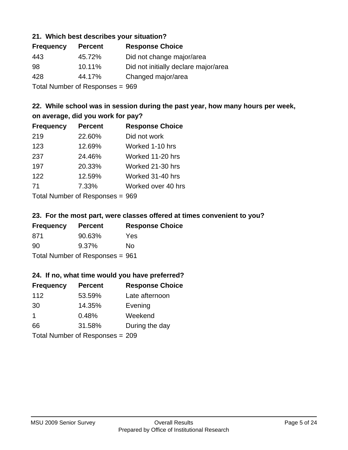#### **21. Which best describes your situation?**

| <b>Frequency</b> | <b>Percent</b>                | <b>Response Choice</b>               |
|------------------|-------------------------------|--------------------------------------|
| 443              | 45.72%                        | Did not change major/area            |
| -98              | 10.11%                        | Did not initially declare major/area |
| 428              | 44.17%                        | Changed major/area                   |
|                  | Total Number of Deepensee OCO |                                      |

Total Number of Responses = 969

### **22. While school was in session during the past year, how many hours per week, on average, did you work for pay?**

| <b>Frequency</b> | <b>Percent</b> | <b>Response Choice</b> |
|------------------|----------------|------------------------|
| 219              | 22.60%         | Did not work           |
| 123              | 12.69%         | Worked 1-10 hrs        |
| 237              | 24.46%         | Worked 11-20 hrs       |
| 197              | 20.33%         | Worked 21-30 hrs       |
| 122              | 12.59%         | Worked 31-40 hrs       |
| 71               | 7.33%          | Worked over 40 hrs     |
|                  |                |                        |

Total Number of Responses = 969

#### **23. For the most part, were classes offered at times convenient to you?**

| <b>Frequency</b> | <b>Percent</b>                  | <b>Response Choice</b> |
|------------------|---------------------------------|------------------------|
| 871              | 90.63%                          | <b>Yes</b>             |
| 90               | $9.37\%$                        | No.                    |
|                  | Total Number of Responses = 961 |                        |

#### **24. If no, what time would you have preferred?**

| <b>Frequency</b>     | <b>Percent</b>                  | <b>Response Choice</b> |
|----------------------|---------------------------------|------------------------|
| 112                  | 53.59%                          | Late afternoon         |
| 30                   | 14.35%                          | Evening                |
| $\blacktriangleleft$ | 0.48%                           | Weekend                |
| 66                   | 31.58%                          | During the day         |
|                      | Total Number of Responses = 209 |                        |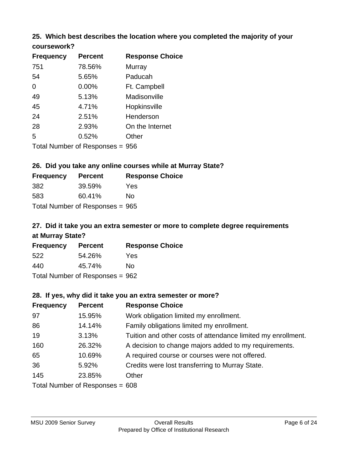# **25. Which best describes the location where you completed the majority of your**

| coursework? |  |
|-------------|--|
|-------------|--|

| <b>Frequency</b> | <b>Percent</b>                  | <b>Response Choice</b> |
|------------------|---------------------------------|------------------------|
| 751              | 78.56%                          | Murray                 |
| 54               | 5.65%                           | Paducah                |
| 0                | 0.00%                           | Ft. Campbell           |
| 49               | 5.13%                           | Madisonville           |
| 45               | 4.71%                           | Hopkinsville           |
| 24               | 2.51%                           | Henderson              |
| 28               | 2.93%                           | On the Internet        |
| 5                | 0.52%                           | Other                  |
|                  | Total Number of Responses = 956 |                        |

**26. Did you take any online courses while at Murray State?**

| <b>Frequency</b> | <b>Percent</b>                  | <b>Response Choice</b> |
|------------------|---------------------------------|------------------------|
| 382              | 39.59%                          | Yes                    |
| 583              | 60.41%                          | No                     |
|                  | Total Number of Responses = 965 |                        |

### **27. Did it take you an extra semester or more to complete degree requirements at Murray State?**

| <b>Frequency</b> | <b>Percent</b>                    | <b>Response Choice</b> |
|------------------|-----------------------------------|------------------------|
| 522              | 54.26%                            | Yes                    |
| 440              | 45.74%                            | No                     |
|                  | Total Number of Responses = $962$ |                        |

#### **28. If yes, why did it take you an extra semester or more?**

| <b>Frequency</b> | <b>Percent</b>                    | <b>Response Choice</b>                                       |
|------------------|-----------------------------------|--------------------------------------------------------------|
| 97               | 15.95%                            | Work obligation limited my enrollment.                       |
| 86               | 14.14%                            | Family obligations limited my enrollment.                    |
| 19               | 3.13%                             | Tuition and other costs of attendance limited my enrollment. |
| 160              | 26.32%                            | A decision to change majors added to my requirements.        |
| 65               | 10.69%                            | A required course or courses were not offered.               |
| 36               | 5.92%                             | Credits were lost transferring to Murray State.              |
| 145              | 23.85%                            | Other                                                        |
|                  | Total Number of Responses = $608$ |                                                              |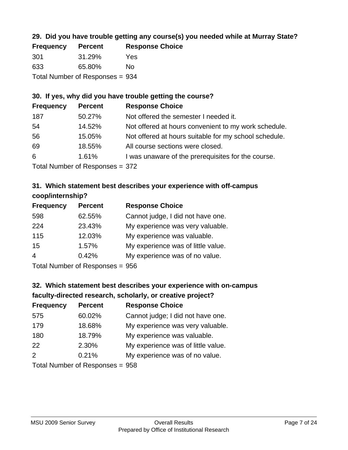### **29. Did you have trouble getting any course(s) you needed while at Murray State?**

| <b>Frequency</b>                | <b>Percent</b> | <b>Response Choice</b> |
|---------------------------------|----------------|------------------------|
| 301                             | 31.29%         | Yes                    |
| 633                             | 65.80%         | Nο                     |
| Total Number of Responses = 934 |                |                        |

### **30. If yes, why did you have trouble getting the course?**

| <b>Frequency</b> | <b>Percent</b> | <b>Response Choice</b>                                |
|------------------|----------------|-------------------------------------------------------|
| 187              | 50.27%         | Not offered the semester I needed it.                 |
| 54               | 14.52%         | Not offered at hours convenient to my work schedule.  |
| 56               | 15.05%         | Not offered at hours suitable for my school schedule. |
| 69               | 18.55%         | All course sections were closed.                      |
| 6                | 1.61%          | I was unaware of the prerequisites for the course.    |
|                  |                |                                                       |

Total Number of Responses = 372

### **31. Which statement best describes your experience with off-campus coop/internship?**

| <b>Frequency</b> | <b>Percent</b> | <b>Response Choice</b>             |
|------------------|----------------|------------------------------------|
| 598              | 62.55%         | Cannot judge, I did not have one.  |
| 224              | 23.43%         | My experience was very valuable.   |
| 115              | 12.03%         | My experience was valuable.        |
| 15               | 1.57%          | My experience was of little value. |
| $\overline{4}$   | 0.42%          | My experience was of no value.     |
|                  |                |                                    |

Total Number of Responses = 956

### **32. Which statement best describes your experience with on-campus faculty-directed research, scholarly, or creative project?**

| <b>Frequency</b> | <b>Percent</b>             | <b>Response Choice</b>             |
|------------------|----------------------------|------------------------------------|
| 575              | 60.02%                     | Cannot judge; I did not have one.  |
| 179              | 18.68%                     | My experience was very valuable.   |
| 180              | 18.79%                     | My experience was valuable.        |
| 22               | 2.30%                      | My experience was of little value. |
| 2                | 0.21%                      | My experience was of no value.     |
|                  | Tatal Number of Desperance |                                    |

Total Number of Responses = 958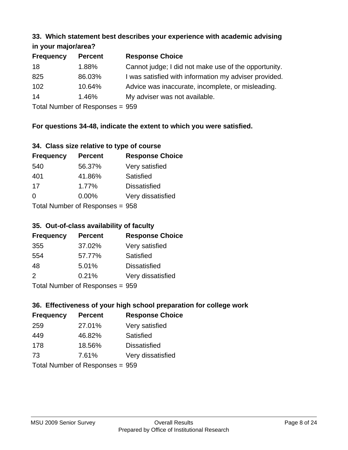# **33. Which statement best describes your experience with academic advising**

### **in your major/area?**

| <b>Frequency</b> | <b>Percent</b> | <b>Response Choice</b>                                |
|------------------|----------------|-------------------------------------------------------|
| 18               | 1.88%          | Cannot judge; I did not make use of the opportunity.  |
| 825              | 86.03%         | I was satisfied with information my adviser provided. |
| 102              | 10.64%         | Advice was inaccurate, incomplete, or misleading.     |
| 14               | 1.46%          | My adviser was not available.                         |
|                  |                |                                                       |

Total Number of Responses = 959

### **For questions 34-48, indicate the extent to which you were satisfied.**

#### **34. Class size relative to type of course**

| <b>Frequency</b>                | <b>Percent</b> | <b>Response Choice</b> |
|---------------------------------|----------------|------------------------|
| 540                             | 56.37%         | Very satisfied         |
| 401                             | 41.86%         | Satisfied              |
| 17                              | 1.77%          | <b>Dissatisfied</b>    |
| $\Omega$                        | 0.00%          | Very dissatisfied      |
| Total Number of Responses = 958 |                |                        |

### **35. Out-of-class availability of faculty**

| <b>Frequency</b> | <b>Percent</b>             | <b>Response Choice</b> |
|------------------|----------------------------|------------------------|
| 355              | 37.02%                     | Very satisfied         |
| 554              | 57.77%                     | Satisfied              |
| 48               | 5.01%                      | <b>Dissatisfied</b>    |
| $\mathcal{P}$    | 0.21%                      | Very dissatisfied      |
|                  | Tatal Number of Desperance |                        |

Total Number of Responses = 959

### **36. Effectiveness of your high school preparation for college work**

| <b>Frequency</b> | <b>Percent</b>                  | <b>Response Choice</b> |
|------------------|---------------------------------|------------------------|
| 259              | 27.01%                          | Very satisfied         |
| 449              | 46.82%                          | Satisfied              |
| 178              | 18.56%                          | <b>Dissatisfied</b>    |
| 73               | 7.61%                           | Very dissatisfied      |
|                  | Total Number of Responses = 959 |                        |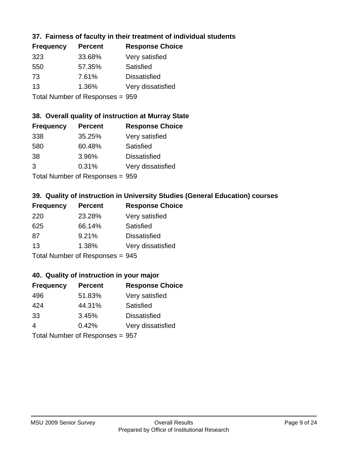### **37. Fairness of faculty in their treatment of individual students**

| <b>Frequency</b> | <b>Percent</b> | <b>Response Choice</b> |
|------------------|----------------|------------------------|
| 323              | 33.68%         | Very satisfied         |
| 550              | 57.35%         | Satisfied              |
| 73               | 7.61%          | <b>Dissatisfied</b>    |
| 13               | 1.36%          | Very dissatisfied      |
|                  |                |                        |

Total Number of Responses = 959

### **38. Overall quality of instruction at Murray State**

| <b>Frequency</b> | <b>Percent</b>                  | <b>Response Choice</b> |
|------------------|---------------------------------|------------------------|
| 338              | 35.25%                          | Very satisfied         |
| 580              | 60.48%                          | Satisfied              |
| 38               | 3.96%                           | <b>Dissatisfied</b>    |
| 3                | 0.31%                           | Very dissatisfied      |
|                  | Total Number of Responses = 959 |                        |

**39. Quality of instruction in University Studies (General Education) courses**

| <b>Frequency</b> | <b>Percent</b>                  | <b>Response Choice</b> |
|------------------|---------------------------------|------------------------|
| 220              | 23.28%                          | Very satisfied         |
| 625              | 66.14%                          | Satisfied              |
| 87               | 9.21%                           | <b>Dissatisfied</b>    |
| 13               | 1.38%                           | Very dissatisfied      |
|                  | Total Number of Responses = 945 |                        |

#### **40. Quality of instruction in your major**

| <b>Frequency</b>                | <b>Percent</b> | <b>Response Choice</b> |
|---------------------------------|----------------|------------------------|
| 496                             | 51.83%         | Very satisfied         |
| 424                             | 44.31%         | Satisfied              |
| 33                              | 3.45%          | <b>Dissatisfied</b>    |
| $\overline{4}$                  | 0.42%          | Very dissatisfied      |
| Total Number of Responses = 957 |                |                        |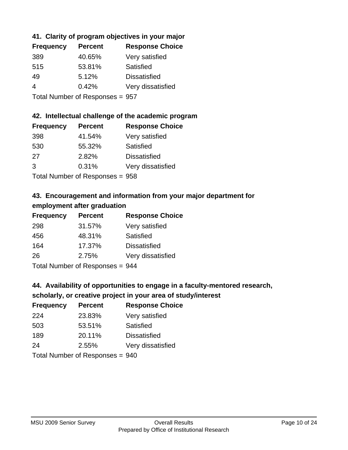### **41. Clarity of program objectives in your major**

| <b>Frequency</b> | <b>Percent</b> | <b>Response Choice</b> |
|------------------|----------------|------------------------|
| 389              | 40.65%         | Very satisfied         |
| 515              | 53.81%         | Satisfied              |
| 49               | 5.12%          | <b>Dissatisfied</b>    |
| 4                | 0.42%          | Very dissatisfied      |
|                  |                |                        |

Total Number of Responses = 957

#### **42. Intellectual challenge of the academic program**

| <b>Frequency</b> | <b>Percent</b> | <b>Response Choice</b> |
|------------------|----------------|------------------------|
| 398              | 41.54%         | Very satisfied         |
| 530              | 55.32%         | Satisfied              |
| 27               | 2.82%          | <b>Dissatisfied</b>    |
| 3                | 0.31%          | Very dissatisfied      |
|                  |                |                        |

Total Number of Responses = 958

### **43. Encouragement and information from your major department for employment after graduation**

| <b>Frequency</b> | <b>Percent</b> | <b>Response Choice</b> |
|------------------|----------------|------------------------|
| 298              | 31.57%         | Very satisfied         |
| 456              | 48.31%         | Satisfied              |
| 164              | 17.37%         | <b>Dissatisfied</b>    |
| 26               | 2.75%          | Very dissatisfied      |
|                  |                |                        |

Total Number of Responses = 944

### **44. Availability of opportunities to engage in a faculty-mentored research,**

### **scholarly, or creative project in your area of study/interest**

| <b>Frequency</b> | <b>Percent</b> | <b>Response Choice</b> |
|------------------|----------------|------------------------|
| 224              | 23.83%         | Very satisfied         |
| 503              | 53.51%         | Satisfied              |
| 189              | 20.11%         | <b>Dissatisfied</b>    |
| 24               | 2.55%          | Very dissatisfied      |
|                  |                |                        |

Total Number of Responses = 940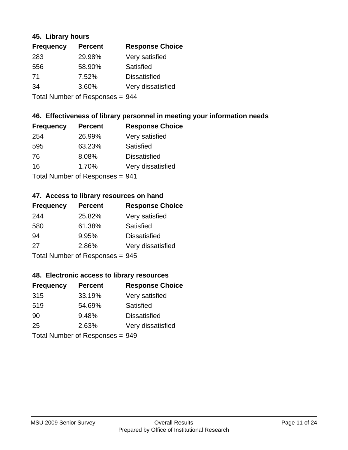#### **45. Library hours**

| <b>Frequency</b> | <b>Percent</b>              | <b>Response Choice</b> |
|------------------|-----------------------------|------------------------|
| 283              | 29.98%                      | Very satisfied         |
| 556              | 58.90%                      | Satisfied              |
| 71               | 7.52%                       | <b>Dissatisfied</b>    |
| 34               | 3.60%                       | Very dissatisfied      |
|                  | Tatal Massakan af Dagmannar |                        |

Total Number of Responses = 944

#### **46. Effectiveness of library personnel in meeting your information needs**

| <b>Frequency</b> | <b>Percent</b>            | <b>Response Choice</b> |
|------------------|---------------------------|------------------------|
| 254              | 26.99%                    | Very satisfied         |
| 595              | 63.23%                    | Satisfied              |
| 76               | 8.08%                     | <b>Dissatisfied</b>    |
| 16               | 1.70%                     | Very dissatisfied      |
|                  | Total Number of Deepensee |                        |

Total Number of Responses = 941

#### **47. Access to library resources on hand**

| <b>Frequency</b>                | <b>Percent</b> | <b>Response Choice</b> |
|---------------------------------|----------------|------------------------|
| 244                             | 25.82%         | Very satisfied         |
| 580                             | 61.38%         | Satisfied              |
| 94                              | 9.95%          | <b>Dissatisfied</b>    |
| 27                              | 2.86%          | Very dissatisfied      |
| Total Number of Responses = 945 |                |                        |

#### **48. Electronic access to library resources**

| <b>Frequency</b>                | <b>Percent</b> | <b>Response Choice</b> |
|---------------------------------|----------------|------------------------|
| 315                             | 33.19%         | Very satisfied         |
| 519                             | 54.69%         | Satisfied              |
| 90                              | 9.48%          | <b>Dissatisfied</b>    |
| 25                              | 2.63%          | Very dissatisfied      |
| Total Number of Responses = 949 |                |                        |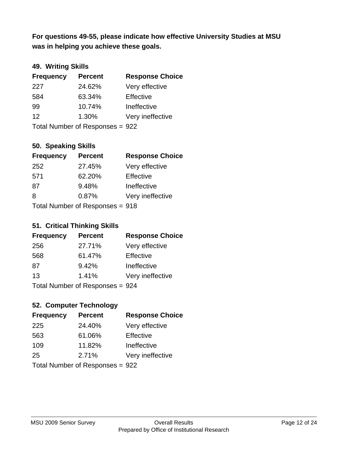**was in helping you achieve these goals. For questions 49-55, please indicate how effective University Studies at MSU** 

### **49. Writing Skills**

| <b>Frequency</b>                | <b>Percent</b> | <b>Response Choice</b> |
|---------------------------------|----------------|------------------------|
| 227                             | 24.62%         | Very effective         |
| 584                             | 63.34%         | Effective              |
| 99                              | 10.74%         | Ineffective            |
| 12                              | 1.30%          | Very ineffective       |
| Total Number of Responses = 922 |                |                        |

#### **50. Speaking Skills**

| <b>Frequency</b>                | <b>Percent</b> | <b>Response Choice</b> |
|---------------------------------|----------------|------------------------|
| 252                             | 27.45%         | Very effective         |
| 571                             | 62.20%         | Effective              |
| 87                              | 9.48%          | Ineffective            |
| 8                               | 0.87%          | Very ineffective       |
| Total Number of Responses = 918 |                |                        |

#### **51. Critical Thinking Skills**

| <b>Frequency</b> | <b>Percent</b>            | <b>Response Choice</b> |
|------------------|---------------------------|------------------------|
| 256              | 27.71%                    | Very effective         |
| 568              | 61.47%                    | Effective              |
| 87               | 9.42%                     | Ineffective            |
| 13               | 1.41%                     | Very ineffective       |
|                  | Total Number of Desponses |                        |

Total Number of Responses = 924

### **52. Computer Technology**

| <b>Frequency</b> | <b>Percent</b>                  | <b>Response Choice</b> |
|------------------|---------------------------------|------------------------|
| 225              | 24.40%                          | Very effective         |
| 563              | 61.06%                          | Effective              |
| 109              | 11.82%                          | Ineffective            |
| 25               | 2.71%                           | Very ineffective       |
|                  | Total Number of Responses = 922 |                        |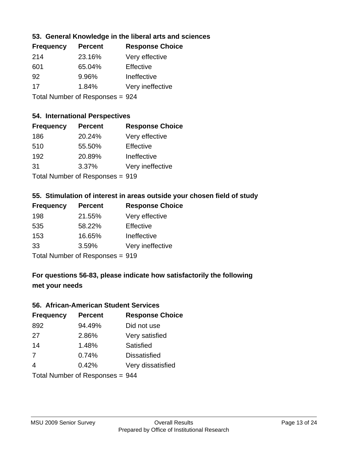### **53. General Knowledge in the liberal arts and sciences**

| <b>Frequency</b> | <b>Percent</b> | <b>Response Choice</b> |
|------------------|----------------|------------------------|
| 214              | 23.16%         | Very effective         |
| 601              | 65.04%         | Effective              |
| 92               | 9.96%          | Ineffective            |
| 17               | 1.84%          | Very ineffective       |
|                  |                |                        |

Total Number of Responses = 924

### **54. International Perspectives**

| <b>Frequency</b> | <b>Percent</b>                  | <b>Response Choice</b> |
|------------------|---------------------------------|------------------------|
| 186              | 20.24%                          | Very effective         |
| 510              | 55.50%                          | Effective              |
| 192              | 20.89%                          | Ineffective            |
| 31               | 3.37%                           | Very ineffective       |
|                  | Total Number of Responses = 919 |                        |

#### **55. Stimulation of interest in areas outside your chosen field of study**

| <b>Frequency</b>                | <b>Percent</b> | <b>Response Choice</b> |
|---------------------------------|----------------|------------------------|
| 198                             | 21.55%         | Very effective         |
| 535                             | 58.22%         | Effective              |
| 153                             | 16.65%         | Ineffective            |
| 33                              | 3.59%          | Very ineffective       |
| Total Number of Responses = 919 |                |                        |

### **For questions 56-83, please indicate how satisfactorily the following met your needs**

#### **56. African-American Student Services**

| <b>Frequency</b> | <b>Percent</b>                  | <b>Response Choice</b> |
|------------------|---------------------------------|------------------------|
| 892              | 94.49%                          | Did not use            |
| 27               | 2.86%                           | Very satisfied         |
| 14               | 1.48%                           | Satisfied              |
| 7                | 0.74%                           | <b>Dissatisfied</b>    |
| $\overline{4}$   | 0.42%                           | Very dissatisfied      |
|                  | Total Number of Responses = 944 |                        |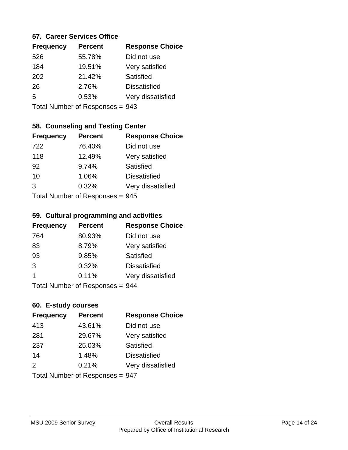#### **57. Career Services Office**

| <b>Frequency</b> | <b>Percent</b> | <b>Response Choice</b> |
|------------------|----------------|------------------------|
| 526              | 55.78%         | Did not use            |
| 184              | 19.51%         | Very satisfied         |
| 202              | 21.42%         | Satisfied              |
| 26               | 2.76%          | <b>Dissatisfied</b>    |
| 5                | 0.53%          | Very dissatisfied      |
|                  |                |                        |

Total Number of Responses = 943

### **58. Counseling and Testing Center**

| <b>Frequency</b> | <b>Percent</b>                   | <b>Response Choice</b> |
|------------------|----------------------------------|------------------------|
| 722              | 76.40%                           | Did not use            |
| 118              | 12.49%                           | Very satisfied         |
| 92               | 9.74%                            | <b>Satisfied</b>       |
| 10               | 1.06%                            | <b>Dissatisfied</b>    |
| 3                | 0.32%                            | Very dissatisfied      |
|                  | $Total Number of Denonce < 0.45$ |                        |

Total Number of Responses = 945

#### **59. Cultural programming and activities**

| <b>Frequency</b>          | <b>Percent</b> | <b>Response Choice</b> |
|---------------------------|----------------|------------------------|
| 764                       | 80.93%         | Did not use            |
| 83                        | 8.79%          | Very satisfied         |
| 93                        | 9.85%          | Satisfied              |
| 3                         | 0.32%          | <b>Dissatisfied</b>    |
| 1                         | 0.11%          | Very dissatisfied      |
| Total Number of Desponses |                |                        |

Total Number of Responses = 944

#### **60. E-study courses**

| <b>Frequency</b> | <b>Percent</b>                  | <b>Response Choice</b> |
|------------------|---------------------------------|------------------------|
| 413              | 43.61%                          | Did not use            |
| 281              | 29.67%                          | Very satisfied         |
| 237              | 25.03%                          | Satisfied              |
| 14               | 1.48%                           | <b>Dissatisfied</b>    |
| 2                | 0.21%                           | Very dissatisfied      |
|                  | Total Number of Responses = 947 |                        |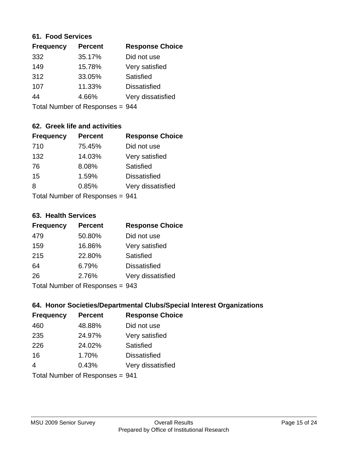#### **61. Food Services**

| <b>Frequency</b> | <b>Percent</b> | <b>Response Choice</b> |
|------------------|----------------|------------------------|
| 332              | 35.17%         | Did not use            |
| 149              | 15.78%         | Very satisfied         |
| 312              | 33.05%         | Satisfied              |
| 107              | 11.33%         | <b>Dissatisfied</b>    |
| 44               | 4.66%          | Very dissatisfied      |
|                  |                |                        |

Total Number of Responses = 944

### **62. Greek life and activities**

| <b>Frequency</b> | <b>Percent</b>                  | <b>Response Choice</b> |
|------------------|---------------------------------|------------------------|
| 710              | 75.45%                          | Did not use            |
| 132              | 14.03%                          | Very satisfied         |
| 76               | 8.08%                           | Satisfied              |
| 15               | 1.59%                           | <b>Dissatisfied</b>    |
| 8                | 0.85%                           | Very dissatisfied      |
|                  | Total Number of Responses = 941 |                        |

#### **63. Health Services**

| <b>Frequency</b>          | <b>Percent</b> | <b>Response Choice</b> |
|---------------------------|----------------|------------------------|
| 479                       | 50.80%         | Did not use            |
| 159                       | 16.86%         | Very satisfied         |
| 215                       | 22.80%         | Satisfied              |
| 64                        | 6.79%          | <b>Dissatisfied</b>    |
| 26                        | 2.76%          | Very dissatisfied      |
| Total Number of Deconoped |                |                        |

Total Number of Responses = 943

### **64. Honor Societies/Departmental Clubs/Special Interest Organizations**

| <b>Frequency</b> | <b>Percent</b>                  | <b>Response Choice</b> |
|------------------|---------------------------------|------------------------|
| 460              | 48.88%                          | Did not use            |
| 235              | 24.97%                          | Very satisfied         |
| 226              | 24.02%                          | Satisfied              |
| 16               | 1.70%                           | <b>Dissatisfied</b>    |
| $\overline{4}$   | 0.43%                           | Very dissatisfied      |
|                  | Total Number of Responses = 941 |                        |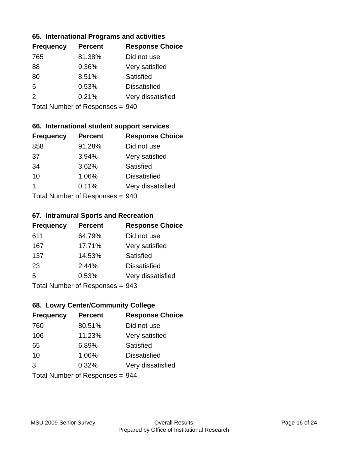#### **65. International Programs and activities**

| <b>Frequency</b> | <b>Percent</b> | <b>Response Choice</b> |
|------------------|----------------|------------------------|
| 765              | 81.38%         | Did not use            |
| 88               | 9.36%          | Very satisfied         |
| 80               | 8.51%          | Satisfied              |
| .5               | 0.53%          | <b>Dissatisfied</b>    |
| $\mathcal{P}$    | 0.21%          | Very dissatisfied      |
|                  |                |                        |

Total Number of Responses = 940

### **66. International student support services**

| <b>Frequency</b>          | <b>Percent</b> | <b>Response Choice</b> |
|---------------------------|----------------|------------------------|
| 858                       | 91.28%         | Did not use            |
| 37                        | 3.94%          | Very satisfied         |
| 34                        | 3.62%          | Satisfied              |
| 10                        | 1.06%          | <b>Dissatisfied</b>    |
|                           | 0.11%          | Very dissatisfied      |
| Total Number of Desponses |                |                        |

Total Number of Responses = 940

#### **67. Intramural Sports and Recreation**

| <b>Frequency</b>          | <b>Percent</b> | <b>Response Choice</b> |
|---------------------------|----------------|------------------------|
| 611                       | 64.79%         | Did not use            |
| 167                       | 17.71%         | Very satisfied         |
| 137                       | 14.53%         | Satisfied              |
| 23                        | 2.44%          | <b>Dissatisfied</b>    |
| .5                        | 0.53%          | Very dissatisfied      |
| Total Number of Desponses |                |                        |

Total Number of Responses = 943

### **68. Lowry Center/Community College**

| <b>Frequency</b> | <b>Percent</b>                  | <b>Response Choice</b> |
|------------------|---------------------------------|------------------------|
| 760              | 80.51%                          | Did not use            |
| 106              | 11.23%                          | Very satisfied         |
| 65               | 6.89%                           | Satisfied              |
| 10               | 1.06%                           | <b>Dissatisfied</b>    |
| 3                | 0.32%                           | Very dissatisfied      |
|                  | Total Number of Responses = 944 |                        |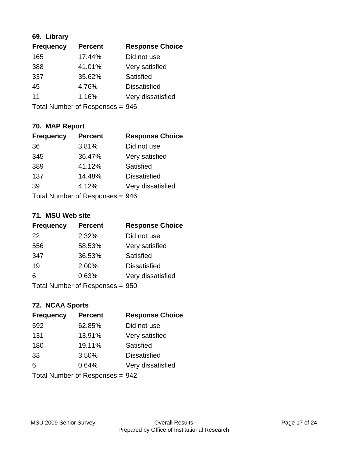### **69. Library**

| <b>Frequency</b> | <b>Percent</b> | <b>Response Choice</b> |
|------------------|----------------|------------------------|
| 165              | 17.44%         | Did not use            |
| 388              | 41.01%         | Very satisfied         |
| 337              | 35.62%         | Satisfied              |
| 45               | 4.76%          | <b>Dissatisfied</b>    |
| 11               | 1.16%          | Very dissatisfied      |
|                  |                |                        |

Total Number of Responses = 946

### **70. MAP Report**

| <b>Frequency</b>                | <b>Percent</b> | <b>Response Choice</b> |
|---------------------------------|----------------|------------------------|
| 36                              | 3.81%          | Did not use            |
| 345                             | 36.47%         | Very satisfied         |
| 389                             | 41.12%         | Satisfied              |
| 137                             | 14.48%         | <b>Dissatisfied</b>    |
| 39                              | 4.12%          | Very dissatisfied      |
| Total Number of Responses = 946 |                |                        |

#### **71. MSU Web site**

| <b>Frequency</b>                | <b>Percent</b> | <b>Response Choice</b> |
|---------------------------------|----------------|------------------------|
| 22                              | 2.32%          | Did not use            |
| 556                             | 58.53%         | Very satisfied         |
| 347                             | 36.53%         | Satisfied              |
| 19                              | 2.00%          | <b>Dissatisfied</b>    |
| 6                               | 0.63%          | Very dissatisfied      |
| Total Number of Responses = 950 |                |                        |

### **72. NCAA Sports**

| <b>Frequency</b>                | <b>Percent</b> | <b>Response Choice</b> |
|---------------------------------|----------------|------------------------|
| 592                             | 62.85%         | Did not use            |
| 131                             | 13.91%         | Very satisfied         |
| 180                             | 19.11%         | Satisfied              |
| 33                              | 3.50%          | <b>Dissatisfied</b>    |
| 6                               | 0.64%          | Very dissatisfied      |
| Total Number of Responses = 942 |                |                        |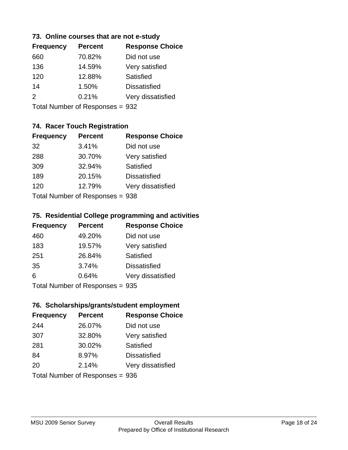### **73. Online courses that are not e-study**

| <b>Frequency</b> | <b>Percent</b> | <b>Response Choice</b> |
|------------------|----------------|------------------------|
| 660              | 70.82%         | Did not use            |
| 136              | 14.59%         | Very satisfied         |
| 120              | 12.88%         | Satisfied              |
| 14               | 1.50%          | <b>Dissatisfied</b>    |
| $\mathcal{P}$    | 0.21%          | Very dissatisfied      |
|                  |                |                        |

Total Number of Responses = 932

### **74. Racer Touch Registration**

| <b>Frequency</b>                | <b>Percent</b> | <b>Response Choice</b> |
|---------------------------------|----------------|------------------------|
| 32                              | 3.41%          | Did not use            |
| 288                             | 30.70%         | Very satisfied         |
| 309                             | 32.94%         | Satisfied              |
| 189                             | 20.15%         | <b>Dissatisfied</b>    |
| 120                             | 12.79%         | Very dissatisfied      |
| Total Number of Responses = 938 |                |                        |

#### **75. Residential College programming and activities**

| <b>Frequency</b>                | <b>Percent</b> | <b>Response Choice</b> |
|---------------------------------|----------------|------------------------|
| 460                             | 49.20%         | Did not use            |
| 183                             | 19.57%         | Very satisfied         |
| 251                             | 26.84%         | <b>Satisfied</b>       |
| 35                              | 3.74%          | <b>Dissatisfied</b>    |
| 6                               | 0.64%          | Very dissatisfied      |
| Total Number of Responses = 935 |                |                        |

#### **76. Scholarships/grants/student employment**

| <b>Frequency</b>                | <b>Percent</b> | <b>Response Choice</b> |
|---------------------------------|----------------|------------------------|
| 244                             | 26.07%         | Did not use            |
| 307                             | 32.80%         | Very satisfied         |
| 281                             | 30.02%         | Satisfied              |
| 84                              | 8.97%          | <b>Dissatisfied</b>    |
| 20                              | 2.14%          | Very dissatisfied      |
| Total Number of Responses = 936 |                |                        |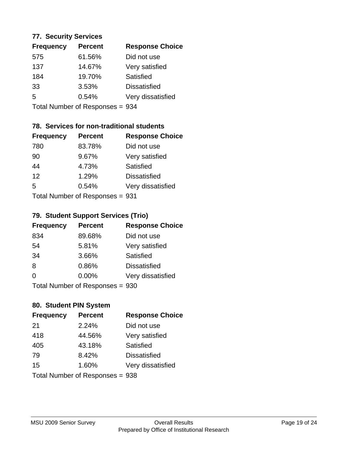#### **77. Security Services**

| <b>Frequency</b> | <b>Percent</b> | <b>Response Choice</b> |
|------------------|----------------|------------------------|
| 575              | 61.56%         | Did not use            |
| 137              | 14.67%         | Very satisfied         |
| 184              | 19.70%         | Satisfied              |
| 33               | 3.53%          | <b>Dissatisfied</b>    |
| 5                | 0.54%          | Very dissatisfied      |
|                  |                |                        |

Total Number of Responses = 934

### **78. Services for non-traditional students**

| <b>Frequency</b>          | <b>Percent</b> | <b>Response Choice</b> |
|---------------------------|----------------|------------------------|
| 780                       | 83.78%         | Did not use            |
| 90                        | 9.67%          | Very satisfied         |
| 44                        | 4.73%          | <b>Satisfied</b>       |
| 12                        | 1.29%          | <b>Dissatisfied</b>    |
| $\overline{5}$            | 0.54%          | Very dissatisfied      |
| Total Number of Desponses |                |                        |

Total Number of Responses = 931

### **79. Student Support Services (Trio)**

| <b>Frequency</b> | <b>Percent</b>                  | <b>Response Choice</b> |
|------------------|---------------------------------|------------------------|
| 834              | 89.68%                          | Did not use            |
| 54               | 5.81%                           | Very satisfied         |
| 34               | 3.66%                           | Satisfied              |
| 8                | 0.86%                           | <b>Dissatisfied</b>    |
| 0                | 0.00%                           | Very dissatisfied      |
|                  | Total Number of Responses = 930 |                        |

### **80. Student PIN System**

| <b>Frequency</b>                | <b>Percent</b> | <b>Response Choice</b> |
|---------------------------------|----------------|------------------------|
| 21                              | 2.24%          | Did not use            |
| 418                             | 44.56%         | Very satisfied         |
| 405                             | 43.18%         | Satisfied              |
| 79                              | 8.42%          | <b>Dissatisfied</b>    |
| 15                              | 1.60%          | Very dissatisfied      |
| Total Number of Responses = 938 |                |                        |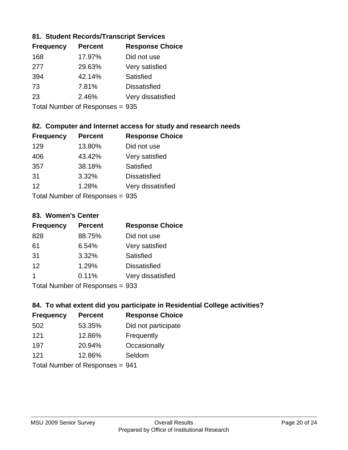### **81. Student Records/Transcript Services**

| <b>Frequency</b> | <b>Percent</b> | <b>Response Choice</b> |
|------------------|----------------|------------------------|
| 168              | 17.97%         | Did not use            |
| 277              | 29.63%         | Very satisfied         |
| 394              | 42.14%         | Satisfied              |
| 73               | 7.81%          | <b>Dissatisfied</b>    |
| 23               | 2.46%          | Very dissatisfied      |
|                  |                |                        |

Total Number of Responses = 935

### **82. Computer and Internet access for study and research needs**

| <b>Frequency</b>          | <b>Percent</b> | <b>Response Choice</b> |
|---------------------------|----------------|------------------------|
| 129                       | 13.80%         | Did not use            |
| 406                       | 43.42%         | Very satisfied         |
| 357                       | 38.18%         | Satisfied              |
| 31                        | 3.32%          | <b>Dissatisfied</b>    |
| 12                        | 1.28%          | Very dissatisfied      |
| Total Number of Deepersee |                |                        |

Total Number of Responses = 935

#### **83. Women's Center**

| <b>Frequency</b> | <b>Percent</b> | <b>Response Choice</b> |
|------------------|----------------|------------------------|
| 828              | 88.75%         | Did not use            |
| 61               | 6.54%          | Very satisfied         |
| 31               | 3.32%          | <b>Satisfied</b>       |
| 12               | 1.29%          | <b>Dissatisfied</b>    |
| 1                | 0.11%          | Very dissatisfied      |
|                  |                | ^^^                    |

Total Number of Responses = 933

### **84. To what extent did you participate in Residential College activities?**

| <b>Frequency</b> | <b>Percent</b>                  | <b>Response Choice</b> |
|------------------|---------------------------------|------------------------|
| 502              | 53.35%                          | Did not participate    |
| 121              | 12.86%                          | Frequently             |
| 197              | 20.94%                          | Occasionally           |
| 121              | 12.86%                          | Seldom                 |
|                  | Total Number of Responses = 941 |                        |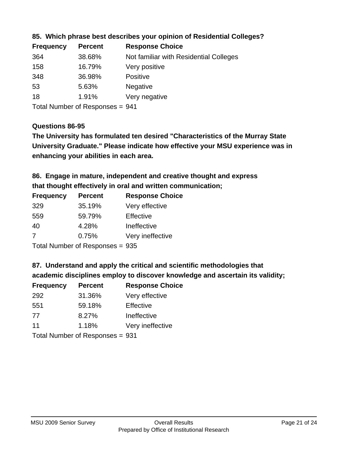| <b>Percent</b> | <b>Response Choice</b>                 |
|----------------|----------------------------------------|
| 38.68%         | Not familiar with Residential Colleges |
| 16.79%         | Very positive                          |
| 36.98%         | <b>Positive</b>                        |
| 5.63%          | <b>Negative</b>                        |
| 1.91%          | Very negative                          |
|                |                                        |

**85. Which phrase best describes your opinion of Residential Colleges?**

Total Number of Responses = 941

### **Questions 86-95**

**University Graduate." Please indicate how effective your MSU experience was in The University has formulated ten desired "Characteristics of the Murray State enhancing your abilities in each area.**

### **86. Engage in mature, independent and creative thought and express that thought effectively in oral and written communication;**

| <b>Frequency</b> | <b>Percent</b> | <b>Response Choice</b> |
|------------------|----------------|------------------------|
| 329              | 35.19%         | Very effective         |
| 559              | 59.79%         | Effective              |
| 40               | 4.28%          | Ineffective            |
| 7                | 0.75%          | Very ineffective       |
|                  |                |                        |

Total Number of Responses = 935

### **87. Understand and apply the critical and scientific methodologies that**

**academic disciplines employ to discover knowledge and ascertain its validity;**

| <b>Frequency</b> | <b>Percent</b>             | <b>Response Choice</b> |
|------------------|----------------------------|------------------------|
| 292              | 31.36%                     | Very effective         |
| 551              | 59.18%                     | Effective              |
| 77               | 8.27%                      | Ineffective            |
| 11               | 1.18%                      | Very ineffective       |
|                  | Total Number of Dononone – |                        |

Total Number of Responses = 931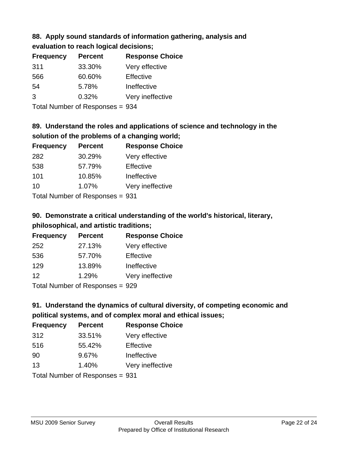# **88. Apply sound standards of information gathering, analysis and**

**evaluation to reach logical decisions;**

| <b>Frequency</b> | <b>Percent</b> | <b>Response Choice</b> |
|------------------|----------------|------------------------|
| 311              | 33.30%         | Very effective         |
| 566              | 60.60%         | Effective              |
| 54               | 5.78%          | Ineffective            |
| 3                | 0.32%          | Very ineffective       |
|                  |                |                        |

Total Number of Responses = 934

## **89. Understand the roles and applications of science and technology in the solution of the problems of a changing world;**

| <b>Frequency</b> | <b>Percent</b>             | <b>Response Choice</b> |
|------------------|----------------------------|------------------------|
| 282              | 30.29%                     | Very effective         |
| 538              | 57.79%                     | Effective              |
| 101              | 10.85%                     | Ineffective            |
| 10               | 1.07%                      | Very ineffective       |
|                  | Total Number of Desperance | ົດລ                    |

Total Number of Responses = 931

# **90. Demonstrate a critical understanding of the world's historical, literary, philosophical, and artistic traditions;**

| <b>Frequency</b> | <b>Percent</b> | <b>Response Choice</b> |
|------------------|----------------|------------------------|
| 252              | 27.13%         | Very effective         |
| 536              | 57.70%         | Effective              |
| 129              | 13.89%         | Ineffective            |
| 12               | 1.29%          | Very ineffective       |
|                  |                |                        |

Total Number of Responses = 929

# **91. Understand the dynamics of cultural diversity, of competing economic and political systems, and of complex moral and ethical issues;**

| <b>Frequency</b> | <b>Percent</b>                  | <b>Response Choice</b> |
|------------------|---------------------------------|------------------------|
| 312              | 33.51%                          | Very effective         |
| 516              | 55.42%                          | Effective              |
| 90               | 9.67%                           | Ineffective            |
| 13               | 1.40%                           | Very ineffective       |
|                  | Total Number of Responses = 931 |                        |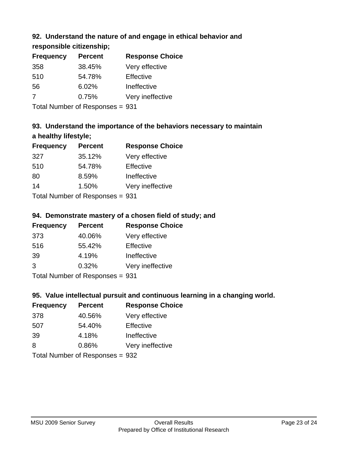### **92. Understand the nature of and engage in ethical behavior and**

**responsible citizenship;**

| <b>Percent</b> | <b>Response Choice</b> |
|----------------|------------------------|
| 38.45%         | Very effective         |
| 54.78%         | Effective              |
| 6.02%          | Ineffective            |
| 0.75%          | Very ineffective       |
|                |                        |

Total Number of Responses = 931

## **93. Understand the importance of the behaviors necessary to maintain a healthy lifestyle;**

| <b>Frequency</b> | <b>Percent</b>            | <b>Response Choice</b> |
|------------------|---------------------------|------------------------|
| 327              | 35.12%                    | Very effective         |
| 510              | 54.78%                    | Effective              |
| 80               | 8.59%                     | Ineffective            |
| 14               | 1.50%                     | Very ineffective       |
|                  | Total Number of Deepersee |                        |

Total Number of Responses = 931

### **94. Demonstrate mastery of a chosen field of study; and**

| <b>Frequency</b> | <b>Percent</b> | <b>Response Choice</b> |
|------------------|----------------|------------------------|
| 373              | 40.06%         | Very effective         |
| 516              | 55.42%         | Effective              |
| 39               | 4.19%          | Ineffective            |
| 3                | 0.32%          | Very ineffective       |
|                  |                |                        |

Total Number of Responses = 931

### **95. Value intellectual pursuit and continuous learning in a changing world.**

| <b>Frequency</b> | <b>Percent</b>            | <b>Response Choice</b> |
|------------------|---------------------------|------------------------|
| 378              | 40.56%                    | Very effective         |
| 507              | 54.40%                    | Effective              |
| 39               | 4.18%                     | Ineffective            |
| 8                | 0.86%                     | Very ineffective       |
|                  | Total Number of Deepensee | ההמ                    |

Total Number of Responses = 932